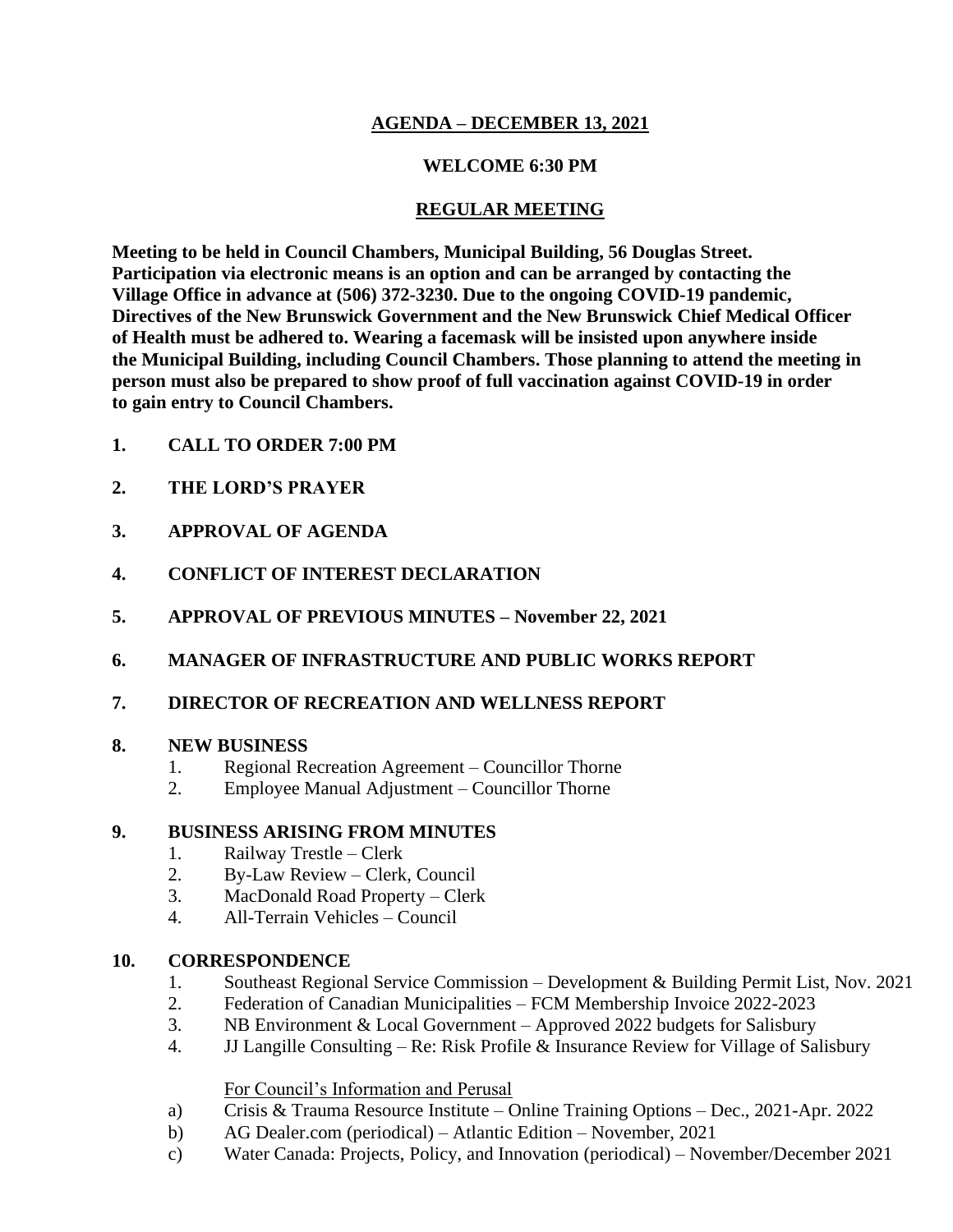# **AGENDA – DECEMBER 13, 2021**

## **WELCOME 6:30 PM**

### **REGULAR MEETING**

**Meeting to be held in Council Chambers, Municipal Building, 56 Douglas Street. Participation via electronic means is an option and can be arranged by contacting the Village Office in advance at (506) 372-3230. Due to the ongoing COVID-19 pandemic, Directives of the New Brunswick Government and the New Brunswick Chief Medical Officer of Health must be adhered to. Wearing a facemask will be insisted upon anywhere inside the Municipal Building, including Council Chambers. Those planning to attend the meeting in person must also be prepared to show proof of full vaccination against COVID-19 in order to gain entry to Council Chambers.**

- **1. CALL TO ORDER 7:00 PM**
- **2. THE LORD'S PRAYER**
- **3. APPROVAL OF AGENDA**
- **4. CONFLICT OF INTEREST DECLARATION**
- **5. APPROVAL OF PREVIOUS MINUTES – November 22, 2021**
- **6. MANAGER OF INFRASTRUCTURE AND PUBLIC WORKS REPORT**
- **7. DIRECTOR OF RECREATION AND WELLNESS REPORT**

#### **8. NEW BUSINESS**

- 1. Regional Recreation Agreement Councillor Thorne
- 2. Employee Manual Adjustment Councillor Thorne

#### **9. BUSINESS ARISING FROM MINUTES**

- 1. Railway Trestle Clerk
- 2. By-Law Review Clerk, Council
- 3. MacDonald Road Property Clerk
- 4. All-Terrain Vehicles Council

#### **10. CORRESPONDENCE**

- 1. Southeast Regional Service Commission Development & Building Permit List, Nov. 2021
- 2. Federation of Canadian Municipalities FCM Membership Invoice 2022-2023
- 3. NB Environment & Local Government Approved 2022 budgets for Salisbury
- 4. JJ Langille Consulting Re: Risk Profile & Insurance Review for Village of Salisbury

#### For Council's Information and Perusal

- a) Crisis & Trauma Resource Institute Online Training Options Dec., 2021-Apr. 2022
- b) AG Dealer.com (periodical) Atlantic Edition November, 2021
- c) Water Canada: Projects, Policy, and Innovation (periodical) November/December 2021